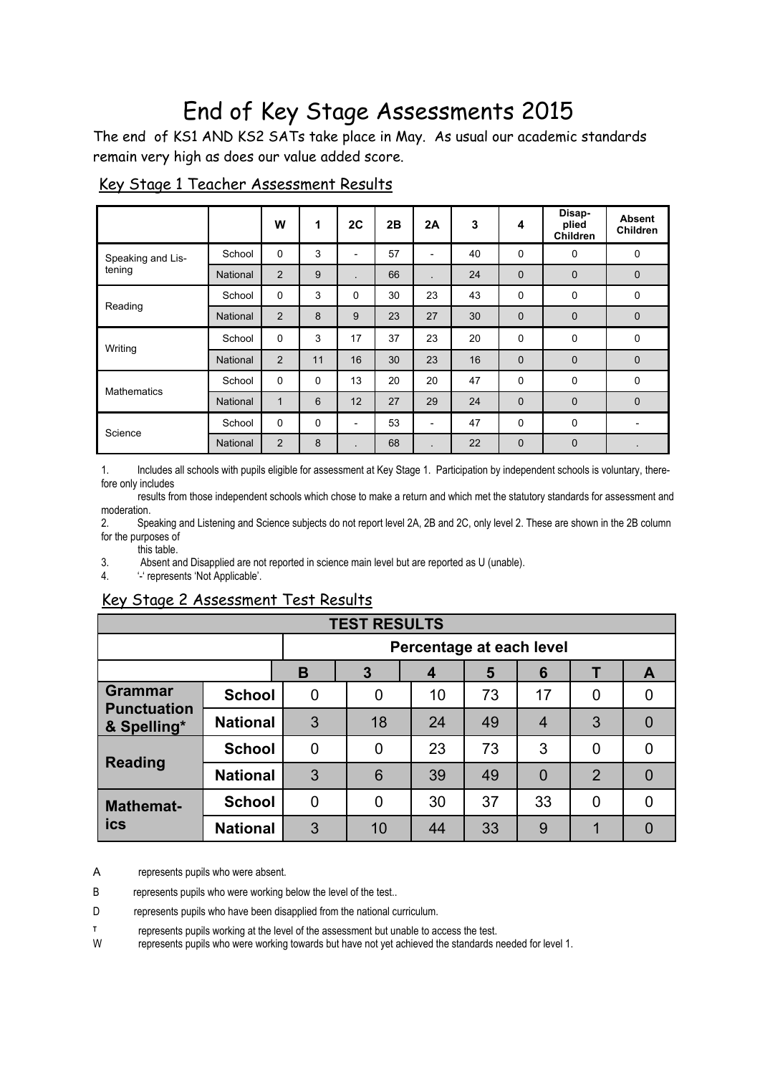## End of Key Stage Assessments 2015

The end of KS1 AND KS2 SATs take place in May. As usual our academic standards remain very high as does our value added score.

|                             |                 | W              | $\mathbf 1$ | 2C                       | 2B | 2A                       | 3  | 4           | Disap-<br>plied<br>Children | <b>Absent</b><br><b>Children</b> |
|-----------------------------|-----------------|----------------|-------------|--------------------------|----|--------------------------|----|-------------|-----------------------------|----------------------------------|
| Speaking and Lis-<br>tening | School          | $\Omega$       | 3           | $\overline{\phantom{0}}$ | 57 | $\overline{\phantom{a}}$ | 40 | 0           | $\mathbf 0$                 | $\mathbf 0$                      |
|                             | National        | $\overline{2}$ | 9           |                          | 66 |                          | 24 | $\mathbf 0$ | $\mathbf 0$                 | $\mathbf 0$                      |
| Reading                     | School          | $\mathbf 0$    | 3           | 0                        | 30 | 23                       | 43 | 0           | $\mathbf 0$                 | 0                                |
|                             | <b>National</b> | 2              | 8           | 9                        | 23 | 27                       | 30 | $\mathbf 0$ | $\mathbf 0$                 | $\pmb{0}$                        |
| Writing                     | School          | $\Omega$       | 3           | 17                       | 37 | 23                       | 20 | 0           | 0                           | 0                                |
|                             | <b>National</b> | 2              | 11          | 16                       | 30 | 23                       | 16 | $\mathbf 0$ | $\mathbf 0$                 | $\mathbf 0$                      |
| <b>Mathematics</b>          | School          | $\mathbf 0$    | $\mathbf 0$ | 13                       | 20 | 20                       | 47 | 0           | $\mathbf 0$                 | $\mathbf 0$                      |
|                             | <b>National</b> | 1              | 6           | 12                       | 27 | 29                       | 24 | $\mathbf 0$ | $\mathbf 0$                 | $\mathbf 0$                      |
| Science                     | School          | $\mathbf 0$    | $\mathbf 0$ | -                        | 53 | $\overline{\phantom{0}}$ | 47 | 0           | $\mathbf 0$                 | $\overline{\phantom{0}}$         |
|                             | <b>National</b> | 2              | 8           |                          | 68 |                          | 22 | $\mathbf 0$ | $\mathbf 0$                 |                                  |

## Key Stage 1 Teacher Assessment Results

1. Includes all schools with pupils eligible for assessment at Key Stage 1. Participation by independent schools is voluntary, therefore only includes

 results from those independent schools which chose to make a return and which met the statutory standards for assessment and moderation.

2. Speaking and Listening and Science subjects do not report level 2A, 2B and 2C, only level 2. These are shown in the 2B column for the purposes of

this table.

3. Absent and Disapplied are not reported in science main level but are reported as U (unable).

4. '-' represents 'Not Applicable'.

## Key Stage 2 Assessment Test Results

| <b>TEST RESULTS</b>                                 |                 |                          |    |    |    |                |                |   |  |  |  |
|-----------------------------------------------------|-----------------|--------------------------|----|----|----|----------------|----------------|---|--|--|--|
|                                                     |                 | Percentage at each level |    |    |    |                |                |   |  |  |  |
|                                                     |                 | B                        | 3  | 4  | 5  | 6              |                | A |  |  |  |
| <b>Grammar</b><br><b>Punctuation</b><br>& Spelling* | <b>School</b>   | 0                        | 0  | 10 | 73 | 17             | $\mathbf 0$    | 0 |  |  |  |
|                                                     | <b>National</b> | 3                        | 18 | 24 | 49 | 4              | 3              |   |  |  |  |
| <b>Reading</b>                                      | <b>School</b>   | 0                        | 0  | 23 | 73 | 3              | $\mathbf 0$    | 0 |  |  |  |
|                                                     | <b>National</b> | 3                        | 6  | 39 | 49 | $\overline{0}$ | $\overline{2}$ |   |  |  |  |
| <b>Mathemat-</b><br>ics                             | <b>School</b>   | 0                        | 0  | 30 | 37 | 33             | $\overline{0}$ |   |  |  |  |
|                                                     | <b>National</b> | 3                        | 10 | 44 | 33 | 9              |                |   |  |  |  |

A represents pupils who were absent.

B represents pupils who were working below the level of the test..

D represents pupils who have been disapplied from the national curriculum.

**T** represents pupils working at the level of the assessment but unable to access the test.

W represents pupils who were working towards but have not yet achieved the standards needed for level 1.